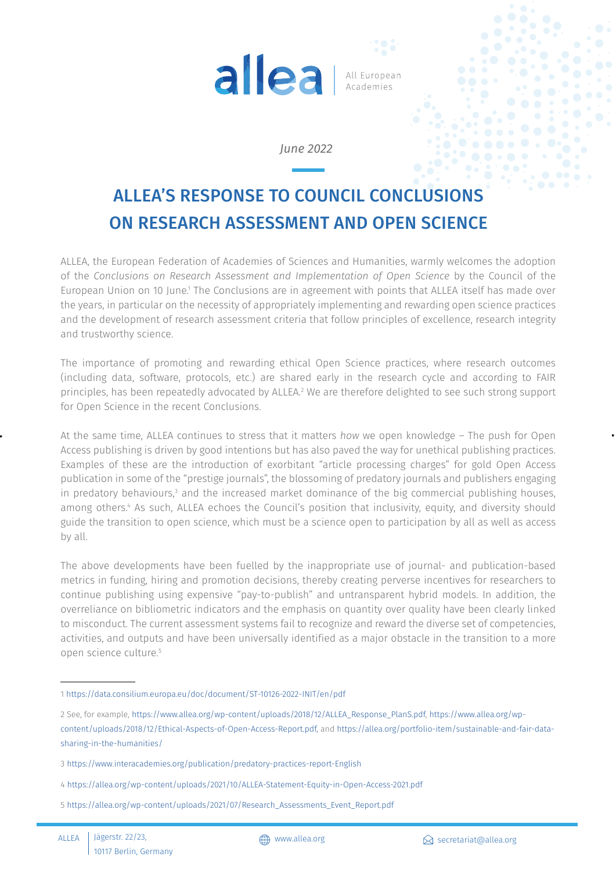

## *June 2022*

## ALLEA'S RESPONSE TO COUNCIL CONCLUSIONS ON RESEARCH ASSESSMENT AND OPEN SCIENCE

ALLEA, the European Federation of Academies of Sciences and Humanities, warmly welcomes the adoption of the *Conclusions on Research Assessment and Implementation of Open Science* by the Council of the European Union on 10 June.<sup>1</sup> The Conclusions are in agreement with points that ALLEA itself has made over the years, in particular on the necessity of appropriately implementing and rewarding open science practices and the development of research assessment criteria that follow principles of excellence, research integrity and trustworthy science.

The importance of promoting and rewarding ethical Open Science practices, where research outcomes (including data, software, protocols, etc.) are shared early in the research cycle and according to FAIR principles, has been repeatedly advocated by ALLEA.<sup>2</sup> We are therefore delighted to see such strong support for Open Science in the recent Conclusions.

At the same time, ALLEA continues to stress that it matters *how* we open knowledge – The push for Open Access publishing is driven by good intentions but has also paved the way for unethical publishing practices. Examples of these are the introduction of exorbitant "article processing charges" for gold Open Access publication in some of the "prestige journals", the blossoming of predatory journals and publishers engaging in predatory behaviours, $^3$  and the increased market dominance of the big commercial publishing houses, among others.4 As such, ALLEA echoes the Council's position that inclusivity, equity, and diversity should guide the transition to open science, which must be a science open to participation by all as well as access by all.

The above developments have been fuelled by the inappropriate use of journal- and publication-based metrics in funding, hiring and promotion decisions, thereby creating perverse incentives for researchers to continue publishing using expensive "pay-to-publish" and untransparent hybrid models. In addition, the overreliance on bibliometric indicators and the emphasis on quantity over quality have been clearly linked to misconduct. The current assessment systems fail to recognize and reward the diverse set of competencies, activities, and outputs and have been universally identified as a major obstacle in the transition to a more open science culture.5

<sup>1</sup><https://data.consilium.europa.eu/doc/document/ST-10126-2022-INIT/en/pdf>

<sup>2</sup> See, for example, [https://www.allea.org/wp-content/uploads/2018/12/ALLEA\\_Response\\_PlanS.pdf](https://www.allea.org/wp-content/uploads/2018/12/ALLEA_Response_PlanS.pdf), [https://www.allea.org/wp](https://www.allea.org/wp-content/uploads/2018/12/Ethical-Aspects-of-Open-Access-Report.pdf)[content/uploads/2018/12/Ethical-Aspects-of-Open-Access-Report.pdf,](https://www.allea.org/wp-content/uploads/2018/12/Ethical-Aspects-of-Open-Access-Report.pdf) and [https://allea.org/portfolio-item/sustainable-and-fair-data](https://allea.org/portfolio-item/sustainable-and-fair-data-sharing-in-the-humanities)[sharing-in-the-humanities](https://allea.org/portfolio-item/sustainable-and-fair-data-sharing-in-the-humanities)/

<sup>3</sup> <https://www.interacademies.org/publication/predatory-practices-report-English>

<sup>4</sup> <https://allea.org/wp-content/uploads/2021/10/ALLEA-Statement-Equity-in-Open-Access-2021.pdf>

<sup>5</sup> [https://allea.org/wp-content/uploads/2021/07/Research\\_Assessments\\_Event\\_Report.pdf](https://allea.org/wp-content/uploads/2021/07/Research_Assessments_Event_Report.pdf)